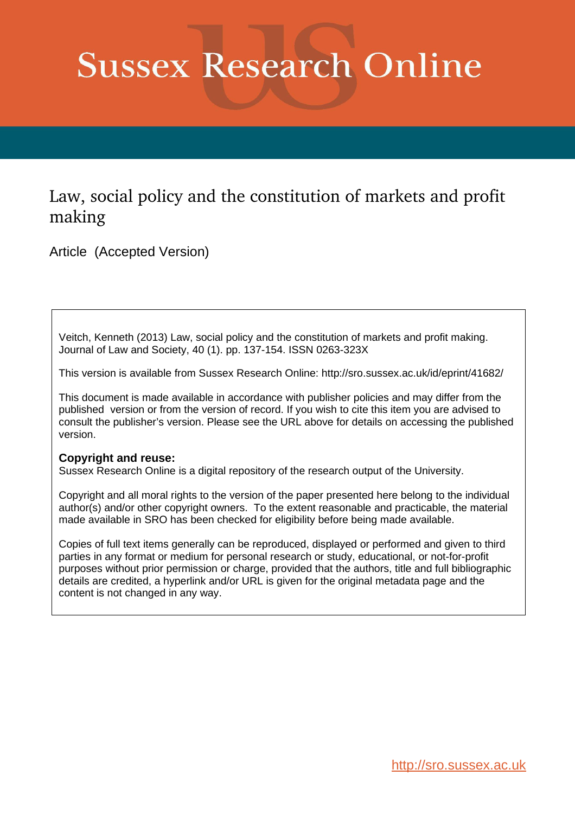# **Sussex Research Online**

### Law, social policy and the constitution of markets and profit making

Article (Accepted Version)

Veitch, Kenneth (2013) Law, social policy and the constitution of markets and profit making. Journal of Law and Society, 40 (1). pp. 137-154. ISSN 0263-323X

This version is available from Sussex Research Online: http://sro.sussex.ac.uk/id/eprint/41682/

This document is made available in accordance with publisher policies and may differ from the published version or from the version of record. If you wish to cite this item you are advised to consult the publisher's version. Please see the URL above for details on accessing the published version.

#### **Copyright and reuse:**

Sussex Research Online is a digital repository of the research output of the University.

Copyright and all moral rights to the version of the paper presented here belong to the individual author(s) and/or other copyright owners. To the extent reasonable and practicable, the material made available in SRO has been checked for eligibility before being made available.

Copies of full text items generally can be reproduced, displayed or performed and given to third parties in any format or medium for personal research or study, educational, or not-for-profit purposes without prior permission or charge, provided that the authors, title and full bibliographic details are credited, a hyperlink and/or URL is given for the original metadata page and the content is not changed in any way.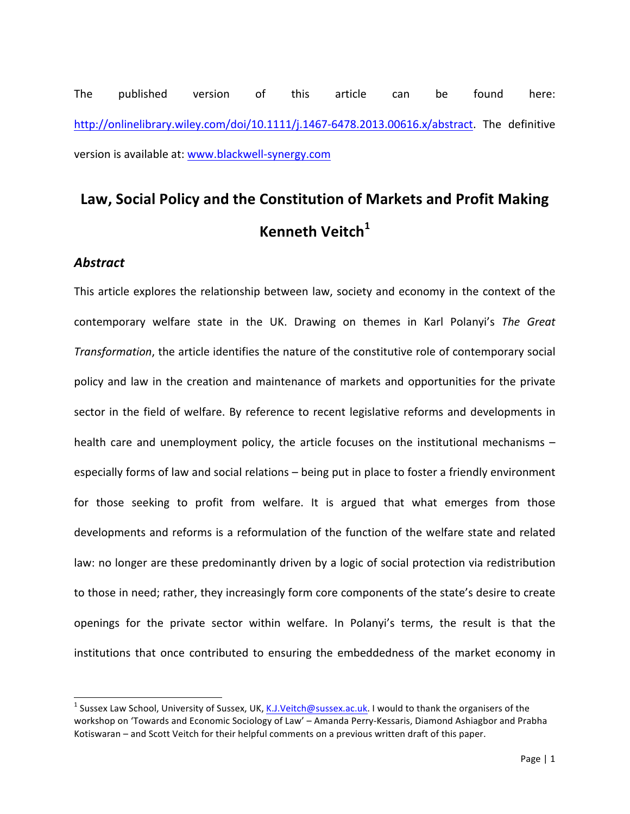The published version of this article can be found here: http://onlinelibrary.wiley.com/doi/10.1111/j.1467-6478.2013.00616.x/abstract. The definitive version is available at: www.blackwell-synergy.com

## Law, Social Policy and the Constitution of Markets and Profit Making **Kenneth Veitch**<sup>1</sup>

#### *Abstract*

This article explores the relationship between law, society and economy in the context of the contemporary welfare state in the UK. Drawing on themes in Karl Polanyi's The Great *Transformation*, the article identifies the nature of the constitutive role of contemporary social policy and law in the creation and maintenance of markets and opportunities for the private sector in the field of welfare. By reference to recent legislative reforms and developments in health care and unemployment policy, the article focuses on the institutional mechanisms – especially forms of law and social relations – being put in place to foster a friendly environment for those seeking to profit from welfare. It is argued that what emerges from those developments and reforms is a reformulation of the function of the welfare state and related law: no longer are these predominantly driven by a logic of social protection via redistribution to those in need; rather, they increasingly form core components of the state's desire to create openings for the private sector within welfare. In Polanyi's terms, the result is that the institutions that once contributed to ensuring the embeddedness of the market economy in

<sup>&</sup>lt;sup>1</sup> Sussex Law School, University of Sussex, UK, K.J.Veitch@sussex.ac.uk. I would to thank the organisers of the workshop on 'Towards and Economic Sociology of Law' – Amanda Perry-Kessaris, Diamond Ashiagbor and Prabha Kotiswaran – and Scott Veitch for their helpful comments on a previous written draft of this paper.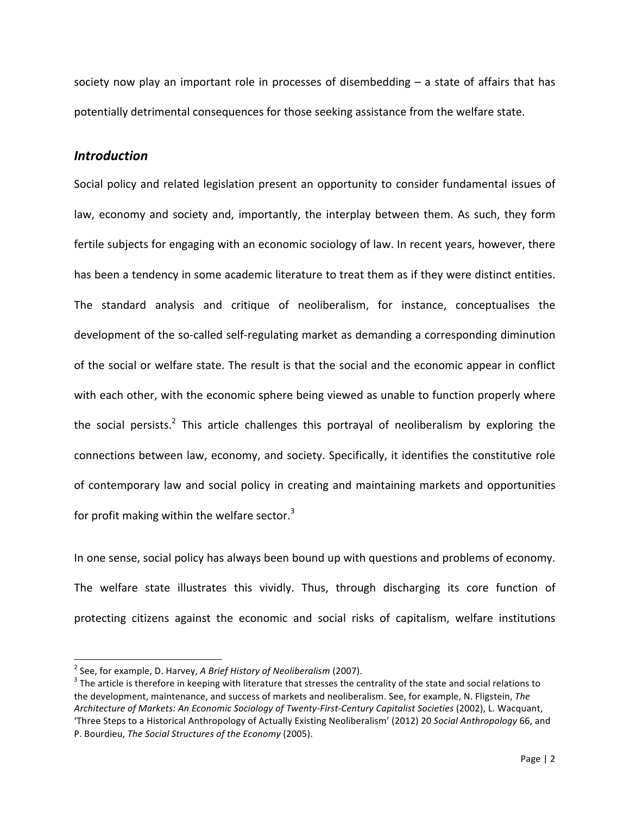society now play an important role in processes of disembedding  $-$  a state of affairs that has potentially detrimental consequences for those seeking assistance from the welfare state.

#### *Introduction*

Social policy and related legislation present an opportunity to consider fundamental issues of law, economy and society and, importantly, the interplay between them. As such, they form fertile subjects for engaging with an economic sociology of law. In recent years, however, there has been a tendency in some academic literature to treat them as if they were distinct entities. The standard analysis and critique of neoliberalism, for instance, conceptualises the development of the so-called self-regulating market as demanding a corresponding diminution of the social or welfare state. The result is that the social and the economic appear in conflict with each other, with the economic sphere being viewed as unable to function properly where the social persists.<sup>2</sup> This article challenges this portrayal of neoliberalism by exploring the connections between law, economy, and society. Specifically, it identifies the constitutive role of contemporary law and social policy in creating and maintaining markets and opportunities for profit making within the welfare sector. $3$ 

In one sense, social policy has always been bound up with questions and problems of economy. The welfare state illustrates this vividly. Thus, through discharging its core function of protecting citizens against the economic and social risks of capitalism, welfare institutions

<sup>&</sup>lt;sup>2</sup> See, for example, D. Harvey, *A Brief History of Neoliberalism* (2007).<br><sup>3</sup> The article is therefore in keeping with literature that stresses the centrality of the state and social relations to the development, maintenance, and success of markets and neoliberalism. See, for example, N. Fligstein, The *Architecture of Markets: An Economic Sociology of Twenty-First-Century Capitalist Societies* (2002), L. Wacquant, 'Three Steps to a Historical Anthropology of Actually Existing Neoliberalism' (2012) 20 Social Anthropology 66, and P. Bourdieu, *The Social Structures of the Economy* (2005).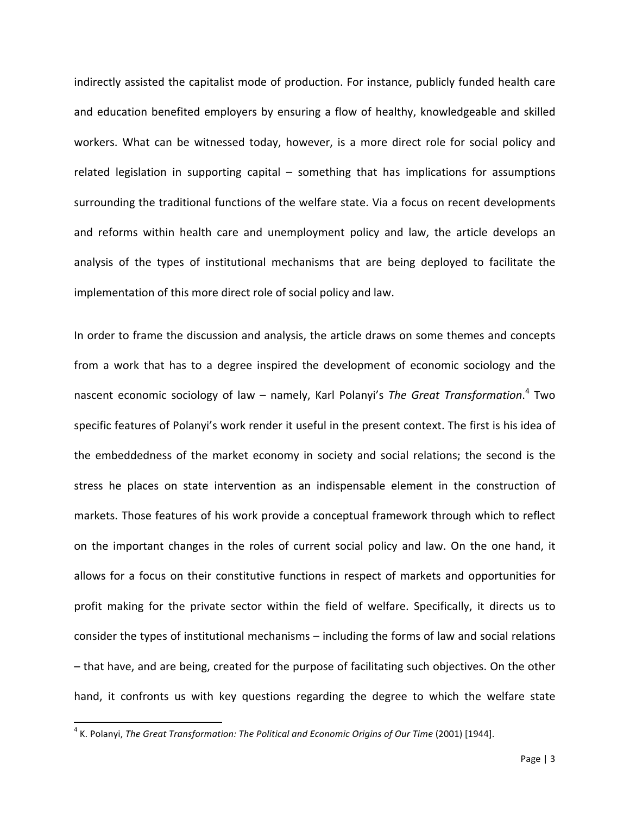indirectly assisted the capitalist mode of production. For instance, publicly funded health care and education benefited employers by ensuring a flow of healthy, knowledgeable and skilled workers. What can be witnessed today, however, is a more direct role for social policy and related legislation in supporting capital  $-$  something that has implications for assumptions surrounding the traditional functions of the welfare state. Via a focus on recent developments and reforms within health care and unemployment policy and law, the article develops an analysis of the types of institutional mechanisms that are being deployed to facilitate the implementation of this more direct role of social policy and law.

In order to frame the discussion and analysis, the article draws on some themes and concepts from a work that has to a degree inspired the development of economic sociology and the nascent economic sociology of law – namely, Karl Polanyi's The Great Transformation.<sup>4</sup> Two specific features of Polanyi's work render it useful in the present context. The first is his idea of the embeddedness of the market economy in society and social relations; the second is the stress he places on state intervention as an indispensable element in the construction of markets. Those features of his work provide a conceptual framework through which to reflect on the important changes in the roles of current social policy and law. On the one hand, it allows for a focus on their constitutive functions in respect of markets and opportunities for profit making for the private sector within the field of welfare. Specifically, it directs us to consider the types of institutional mechanisms  $-$  including the forms of law and social relations  $-$  that have, and are being, created for the purpose of facilitating such objectives. On the other hand, it confronts us with key questions regarding the degree to which the welfare state

<sup>&</sup>lt;sup>4</sup> K. Polanyi, *The Great Transformation: The Political and Economic Origins of Our Time* (2001) [1944].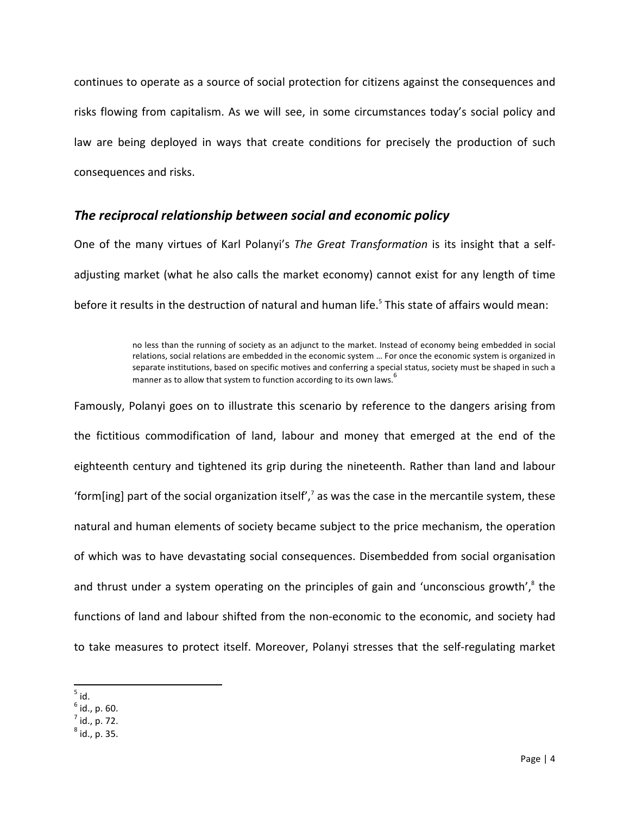continues to operate as a source of social protection for citizens against the consequences and risks flowing from capitalism. As we will see, in some circumstances today's social policy and law are being deployed in ways that create conditions for precisely the production of such consequences and risks.

#### The reciprocal relationship between social and economic policy

One of the many virtues of Karl Polanyi's The Great Transformation is its insight that a selfadjusting market (what he also calls the market economy) cannot exist for any length of time before it results in the destruction of natural and human life.<sup>5</sup> This state of affairs would mean:

> no less than the running of society as an adjunct to the market. Instead of economy being embedded in social relations, social relations are embedded in the economic system ... For once the economic system is organized in separate institutions, based on specific motives and conferring a special status, society must be shaped in such a manner as to allow that system to function according to its own laws.<sup>6</sup>

Famously, Polanyi goes on to illustrate this scenario by reference to the dangers arising from the fictitious commodification of land, labour and money that emerged at the end of the eighteenth century and tightened its grip during the nineteenth. Rather than land and labour 'form[ing] part of the social organization itself', $^7$  as was the case in the mercantile system, these natural and human elements of society became subject to the price mechanism, the operation of which was to have devastating social consequences. Disembedded from social organisation and thrust under a system operating on the principles of gain and 'unconscious growth',<sup>8</sup> the functions of land and labour shifted from the non-economic to the economic, and society had to take measures to protect itself. Moreover, Polanyi stresses that the self-regulating market

 $5$  id.

 $<sup>6</sup>$  id., p. 60.</sup>

 $<sup>7</sup>$  id., p. 72.</sup>

 $^8$  id., p. 35.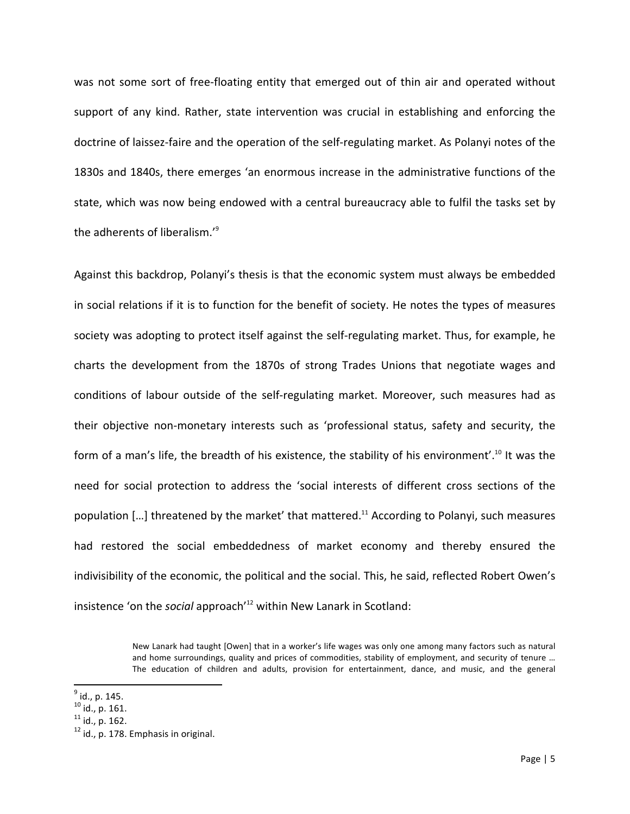was not some sort of free-floating entity that emerged out of thin air and operated without support of any kind. Rather, state intervention was crucial in establishing and enforcing the doctrine of laissez-faire and the operation of the self-regulating market. As Polanyi notes of the 1830s and 1840s, there emerges 'an enormous increase in the administrative functions of the state, which was now being endowed with a central bureaucracy able to fulfil the tasks set by the adherents of liberalism."<sup>9</sup>

Against this backdrop, Polanyi's thesis is that the economic system must always be embedded in social relations if it is to function for the benefit of society. He notes the types of measures society was adopting to protect itself against the self-regulating market. Thus, for example, he charts the development from the 1870s of strong Trades Unions that negotiate wages and conditions of labour outside of the self-regulating market. Moreover, such measures had as their objective non-monetary interests such as 'professional status, safety and security, the form of a man's life, the breadth of his existence, the stability of his environment'.<sup>10</sup> It was the need for social protection to address the 'social interests of different cross sections of the population  $[...]$  threatened by the market' that mattered.<sup>11</sup> According to Polanyi, such measures had restored the social embeddedness of market economy and thereby ensured the indivisibility of the economic, the political and the social. This, he said, reflected Robert Owen's insistence 'on the *social* approach'<sup>12</sup> within New Lanark in Scotland:

> New Lanark had taught [Owen] that in a worker's life wages was only one among many factors such as natural and home surroundings, quality and prices of commodities, stability of employment, and security of tenure ... The education of children and adults, provision for entertainment, dance, and music, and the general

 $\frac{9}{10}$  id., p. 145.<br>
<sup>10</sup> id., p. 161.

<sup>&</sup>lt;sup>11</sup> id., p. 162.<br> $12$  id., p. 178. Emphasis in original.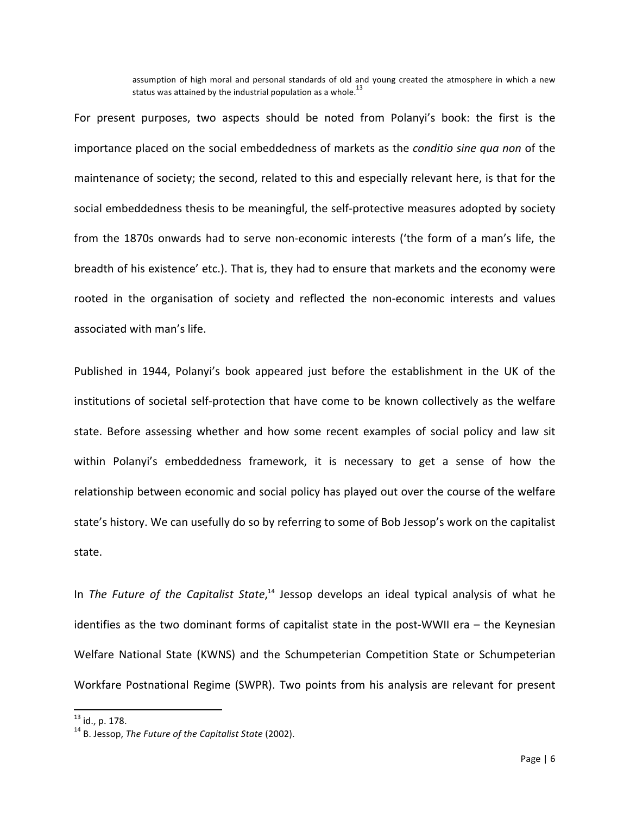assumption of high moral and personal standards of old and young created the atmosphere in which a new status was attained by the industrial population as a whole.<sup>13</sup>

For present purposes, two aspects should be noted from Polanyi's book: the first is the importance placed on the social embeddedness of markets as the *conditio sine qua non* of the maintenance of society; the second, related to this and especially relevant here, is that for the social embeddedness thesis to be meaningful, the self-protective measures adopted by society from the 1870s onwards had to serve non-economic interests ('the form of a man's life, the breadth of his existence' etc.). That is, they had to ensure that markets and the economy were rooted in the organisation of society and reflected the non-economic interests and values associated with man's life.

Published in 1944, Polanyi's book appeared just before the establishment in the UK of the institutions of societal self-protection that have come to be known collectively as the welfare state. Before assessing whether and how some recent examples of social policy and law sit within Polanyi's embeddedness framework, it is necessary to get a sense of how the relationship between economic and social policy has played out over the course of the welfare state's history. We can usefully do so by referring to some of Bob Jessop's work on the capitalist state.

In *The Future of the Capitalist State*,<sup>14</sup> Jessop develops an ideal typical analysis of what he identifies as the two dominant forms of capitalist state in the post-WWII era  $-$  the Keynesian Welfare National State (KWNS) and the Schumpeterian Competition State or Schumpeterian Workfare Postnational Regime (SWPR). Two points from his analysis are relevant for present

<sup>&</sup>lt;sup>13</sup> id., p. 178.<br><sup>14</sup> B. Jessop, *The Future of the Capitalist State* (2002).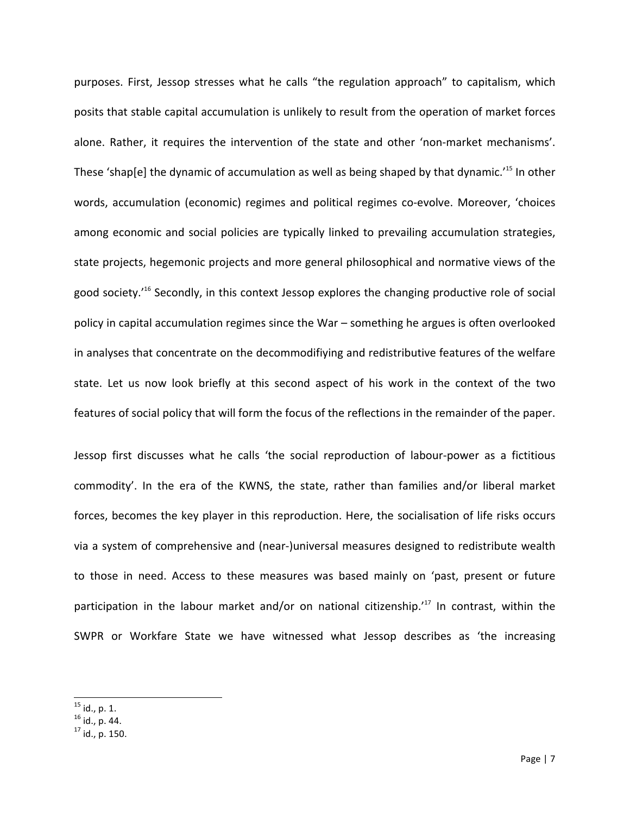purposes. First, Jessop stresses what he calls "the regulation approach" to capitalism, which posits that stable capital accumulation is unlikely to result from the operation of market forces alone. Rather, it requires the intervention of the state and other 'non-market mechanisms'. These 'shap[e] the dynamic of accumulation as well as being shaped by that dynamic.'<sup>15</sup> In other words, accumulation (economic) regimes and political regimes co-evolve. Moreover, 'choices among economic and social policies are typically linked to prevailing accumulation strategies, state projects, hegemonic projects and more general philosophical and normative views of the good society.<sup>'16</sup> Secondly, in this context Jessop explores the changing productive role of social policy in capital accumulation regimes since the War – something he argues is often overlooked in analyses that concentrate on the decommodifiying and redistributive features of the welfare state. Let us now look briefly at this second aspect of his work in the context of the two features of social policy that will form the focus of the reflections in the remainder of the paper.

Jessop first discusses what he calls 'the social reproduction of labour-power as a fictitious commodity'. In the era of the KWNS, the state, rather than families and/or liberal market forces, becomes the key player in this reproduction. Here, the socialisation of life risks occurs via a system of comprehensive and (near-)universal measures designed to redistribute wealth to those in need. Access to these measures was based mainly on 'past, present or future participation in the labour market and/or on national citizenship.<sup>17</sup> In contrast, within the SWPR or Workfare State we have witnessed what Jessop describes as 'the increasing

<sup>&</sup>lt;sup>15</sup> id., p. 1.<br><sup>16</sup> id., p. 44.<br><sup>17</sup> id., p. 150.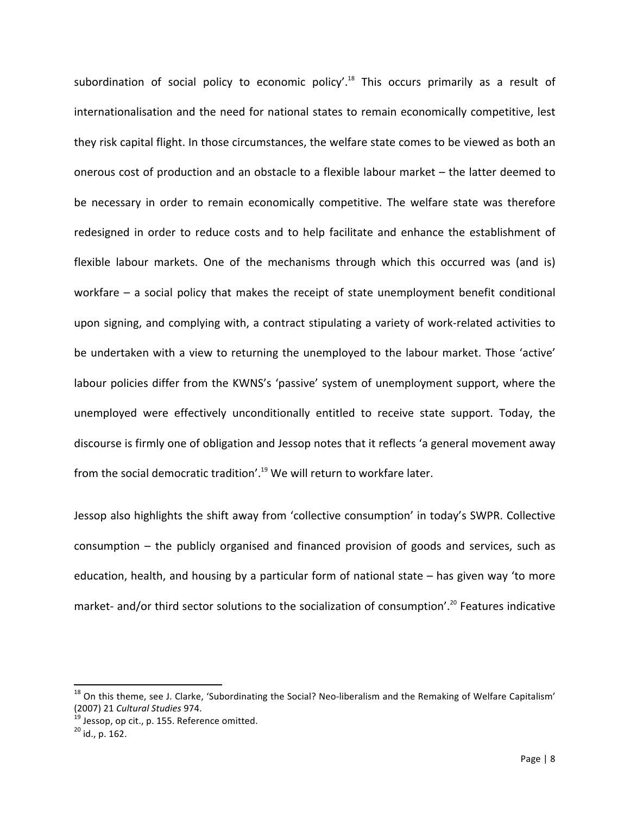subordination of social policy to economic policy'.<sup>18</sup> This occurs primarily as a result of internationalisation and the need for national states to remain economically competitive, lest they risk capital flight. In those circumstances, the welfare state comes to be viewed as both an onerous cost of production and an obstacle to a flexible labour market  $-$  the latter deemed to be necessary in order to remain economically competitive. The welfare state was therefore redesigned in order to reduce costs and to help facilitate and enhance the establishment of flexible labour markets. One of the mechanisms through which this occurred was (and is) workfare  $-$  a social policy that makes the receipt of state unemployment benefit conditional upon signing, and complying with, a contract stipulating a variety of work-related activities to be undertaken with a view to returning the unemployed to the labour market. Those 'active' labour policies differ from the KWNS's 'passive' system of unemployment support, where the unemployed were effectively unconditionally entitled to receive state support. Today, the discourse is firmly one of obligation and Jessop notes that it reflects 'a general movement away from the social democratic tradition'.<sup>19</sup> We will return to workfare later.

Jessop also highlights the shift away from 'collective consumption' in today's SWPR. Collective consumption  $-$  the publicly organised and financed provision of goods and services, such as education, health, and housing by a particular form of national state  $-$  has given way 'to more market- and/or third sector solutions to the socialization of consumption'.<sup>20</sup> Features indicative

 $18$  On this theme, see J. Clarke, 'Subordinating the Social? Neo-liberalism and the Remaking of Welfare Capitalism' (2007) 21 *Cultural Studies* 974.<br><sup>19</sup> Jessop, op cit., p. 155. Reference omitted.<br><sup>20</sup> id., p. 162.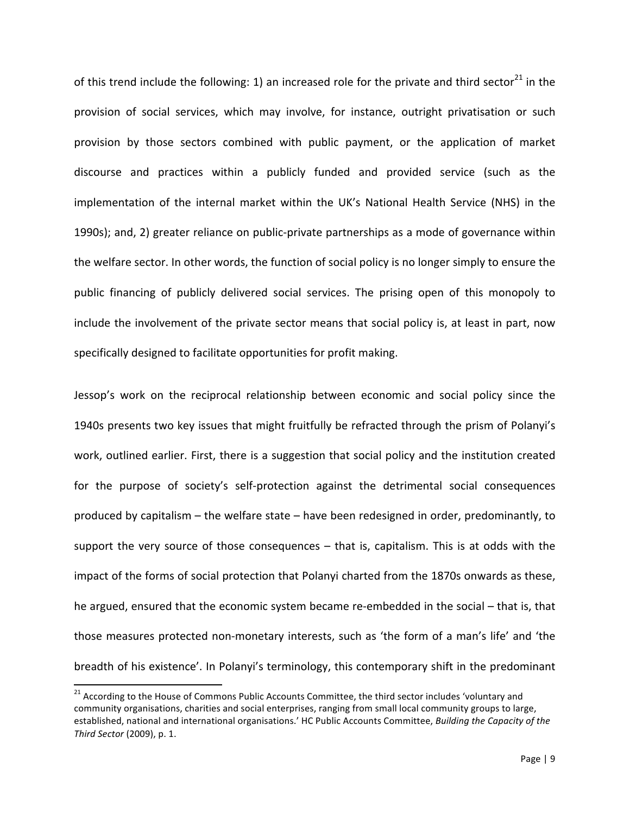of this trend include the following: 1) an increased role for the private and third sector<sup>21</sup> in the provision of social services, which may involve, for instance, outright privatisation or such provision by those sectors combined with public payment, or the application of market discourse and practices within a publicly funded and provided service (such as the implementation of the internal market within the UK's National Health Service (NHS) in the 1990s); and, 2) greater reliance on public-private partnerships as a mode of governance within the welfare sector. In other words, the function of social policy is no longer simply to ensure the public financing of publicly delivered social services. The prising open of this monopoly to include the involvement of the private sector means that social policy is, at least in part, now specifically designed to facilitate opportunities for profit making.

Jessop's work on the reciprocal relationship between economic and social policy since the 1940s presents two key issues that might fruitfully be refracted through the prism of Polanyi's work, outlined earlier. First, there is a suggestion that social policy and the institution created for the purpose of society's self-protection against the detrimental social consequences produced by capitalism – the welfare state – have been redesigned in order, predominantly, to support the very source of those consequences  $-$  that is, capitalism. This is at odds with the impact of the forms of social protection that Polanyi charted from the 1870s onwards as these, he argued, ensured that the economic system became re-embedded in the social – that is, that those measures protected non-monetary interests, such as 'the form of a man's life' and 'the breadth of his existence'. In Polanyi's terminology, this contemporary shift in the predominant

<sup>&</sup>lt;sup>21</sup> According to the House of Commons Public Accounts Committee, the third sector includes 'voluntary and community organisations, charities and social enterprises, ranging from small local community groups to large, established, national and international organisations.' HC Public Accounts Committee, *Building the Capacity of the Third Sector* (2009), p. 1.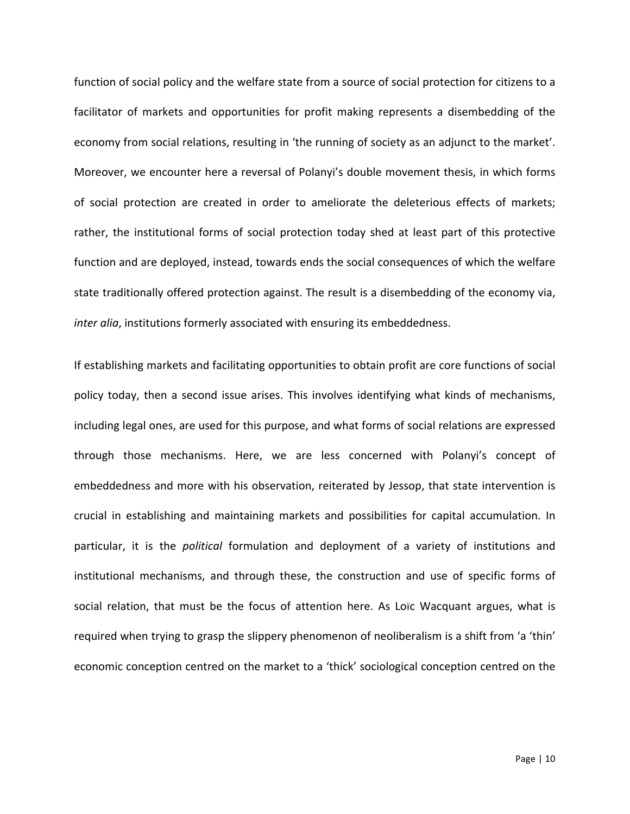function of social policy and the welfare state from a source of social protection for citizens to a facilitator of markets and opportunities for profit making represents a disembedding of the economy from social relations, resulting in 'the running of society as an adjunct to the market'. Moreover, we encounter here a reversal of Polanyi's double movement thesis, in which forms of social protection are created in order to ameliorate the deleterious effects of markets; rather, the institutional forms of social protection today shed at least part of this protective function and are deployed, instead, towards ends the social consequences of which the welfare state traditionally offered protection against. The result is a disembedding of the economy via, *inter alia*, institutions formerly associated with ensuring its embeddedness.

If establishing markets and facilitating opportunities to obtain profit are core functions of social policy today, then a second issue arises. This involves identifying what kinds of mechanisms, including legal ones, are used for this purpose, and what forms of social relations are expressed through those mechanisms. Here, we are less concerned with Polanyi's concept of embeddedness and more with his observation, reiterated by Jessop, that state intervention is crucial in establishing and maintaining markets and possibilities for capital accumulation. In particular, it is the *political* formulation and deployment of a variety of institutions and institutional mechanisms, and through these, the construction and use of specific forms of social relation, that must be the focus of attention here. As Loïc Wacquant argues, what is required when trying to grasp the slippery phenomenon of neoliberalism is a shift from 'a 'thin' economic conception centred on the market to a 'thick' sociological conception centred on the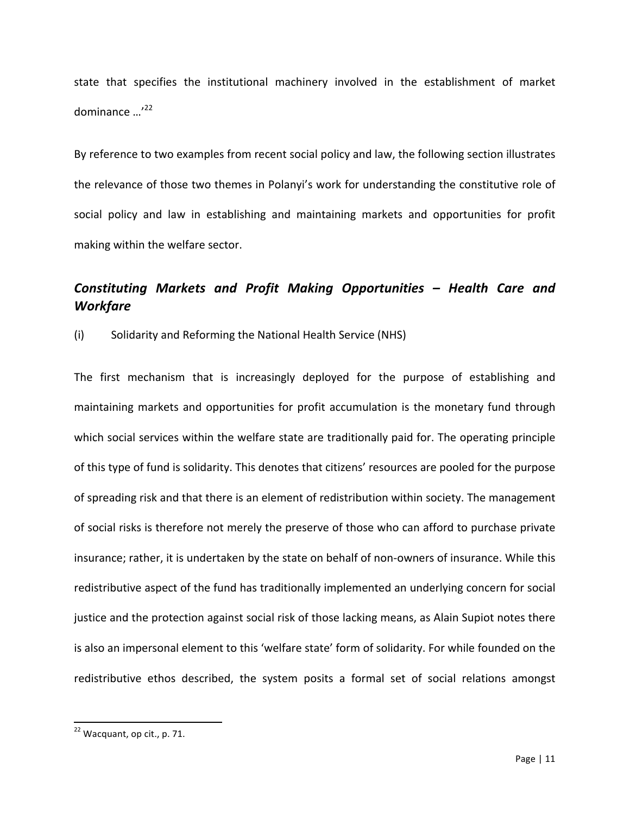state that specifies the institutional machinery involved in the establishment of market dominance ...<sup>'22</sup>

By reference to two examples from recent social policy and law, the following section illustrates the relevance of those two themes in Polanyi's work for understanding the constitutive role of social policy and law in establishing and maintaining markets and opportunities for profit making within the welfare sector.

#### *Constituting Markets and Profit Making Opportunities – Health Care and Workfare*

(i) Solidarity and Reforming the National Health Service (NHS)

The first mechanism that is increasingly deployed for the purpose of establishing and maintaining markets and opportunities for profit accumulation is the monetary fund through which social services within the welfare state are traditionally paid for. The operating principle of this type of fund is solidarity. This denotes that citizens' resources are pooled for the purpose of spreading risk and that there is an element of redistribution within society. The management of social risks is therefore not merely the preserve of those who can afford to purchase private insurance; rather, it is undertaken by the state on behalf of non-owners of insurance. While this redistributive aspect of the fund has traditionally implemented an underlying concern for social justice and the protection against social risk of those lacking means, as Alain Supiot notes there is also an impersonal element to this 'welfare state' form of solidarity. For while founded on the redistributive ethos described, the system posits a formal set of social relations amongst

 $22$  Wacquant, op cit., p. 71.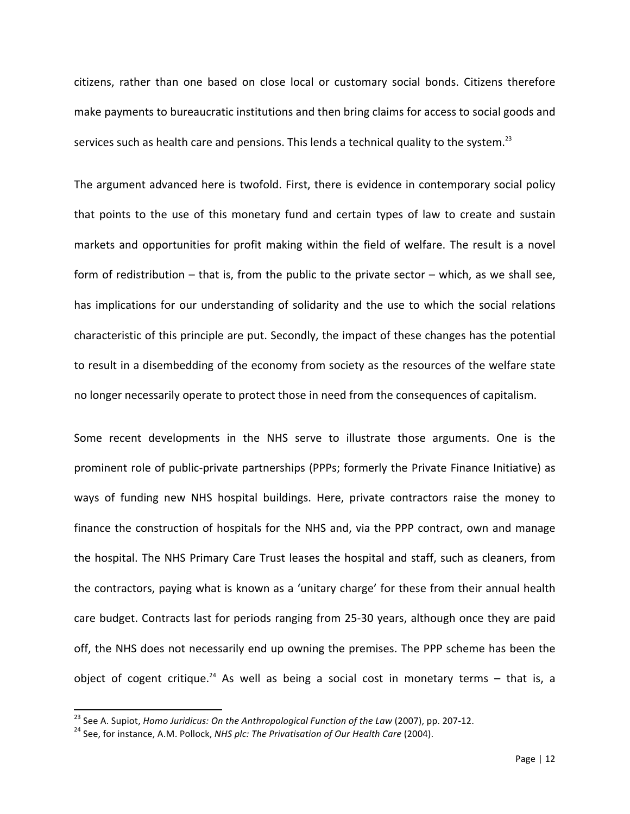citizens, rather than one based on close local or customary social bonds. Citizens therefore make payments to bureaucratic institutions and then bring claims for access to social goods and services such as health care and pensions. This lends a technical quality to the system.<sup>23</sup>

The argument advanced here is twofold. First, there is evidence in contemporary social policy that points to the use of this monetary fund and certain types of law to create and sustain markets and opportunities for profit making within the field of welfare. The result is a novel form of redistribution  $-$  that is, from the public to the private sector  $-$  which, as we shall see, has implications for our understanding of solidarity and the use to which the social relations characteristic of this principle are put. Secondly, the impact of these changes has the potential to result in a disembedding of the economy from society as the resources of the welfare state no longer necessarily operate to protect those in need from the consequences of capitalism.

Some recent developments in the NHS serve to illustrate those arguments. One is the prominent role of public-private partnerships (PPPs; formerly the Private Finance Initiative) as ways of funding new NHS hospital buildings. Here, private contractors raise the money to finance the construction of hospitals for the NHS and, via the PPP contract, own and manage the hospital. The NHS Primary Care Trust leases the hospital and staff, such as cleaners, from the contractors, paying what is known as a 'unitary charge' for these from their annual health care budget. Contracts last for periods ranging from 25-30 years, although once they are paid off, the NHS does not necessarily end up owning the premises. The PPP scheme has been the object of cogent critique.<sup>24</sup> As well as being a social cost in monetary terms – that is, a

<sup>&</sup>lt;sup>23</sup> See A. Supiot, *Homo Juridicus: On the Anthropological Function of the Law* (2007), pp. 207-12.<br><sup>24</sup> See, for instance, A.M. Pollock, *NHS plc: The Privatisation of Our Health Care* (2004).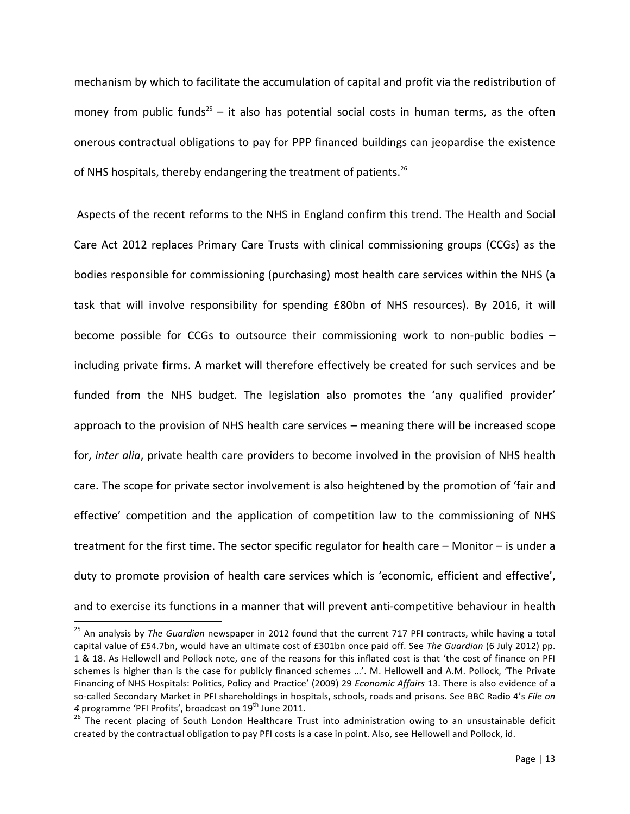mechanism by which to facilitate the accumulation of capital and profit via the redistribution of money from public funds<sup>25</sup> – it also has potential social costs in human terms, as the often onerous contractual obligations to pay for PPP financed buildings can jeopardise the existence of NHS hospitals, thereby endangering the treatment of patients.<sup>26</sup>

Aspects of the recent reforms to the NHS in England confirm this trend. The Health and Social Care Act 2012 replaces Primary Care Trusts with clinical commissioning groups (CCGs) as the bodies responsible for commissioning (purchasing) most health care services within the NHS (a task that will involve responsibility for spending £80bn of NHS resources). By 2016, it will become possible for CCGs to outsource their commissioning work to non-public bodies  $$ including private firms. A market will therefore effectively be created for such services and be funded from the NHS budget. The legislation also promotes the 'any qualified provider' approach to the provision of NHS health care services – meaning there will be increased scope for, *inter alia*, private health care providers to become involved in the provision of NHS health care. The scope for private sector involvement is also heightened by the promotion of 'fair and effective' competition and the application of competition law to the commissioning of NHS treatment for the first time. The sector specific regulator for health care  $-$  Monitor  $-$  is under a duty to promote provision of health care services which is 'economic, efficient and effective', and to exercise its functions in a manner that will prevent anti-competitive behaviour in health

<sup>&</sup>lt;sup>25</sup> An analysis by *The Guardian* newspaper in 2012 found that the current 717 PFI contracts, while having a total capital value of £54.7bn, would have an ultimate cost of £301bn once paid off. See The Guardian (6 July 2012) pp. 1 & 18. As Hellowell and Pollock note, one of the reasons for this inflated cost is that 'the cost of finance on PFI schemes is higher than is the case for publicly financed schemes ...'. M. Hellowell and A.M. Pollock, 'The Private Financing of NHS Hospitals: Politics, Policy and Practice' (2009) 29 *Economic Affairs* 13. There is also evidence of a so-called Secondary Market in PFI shareholdings in hospitals, schools, roads and prisons. See BBC Radio 4's File on

*<sup>4</sup>* programme 'PFI Profits', broadcast on 19<sup>th</sup> June 2011.<br><sup>26</sup> The recent placing of South London Healthcare Trust into administration owing to an unsustainable deficit created by the contractual obligation to pay PFI costs is a case in point. Also, see Hellowell and Pollock, id.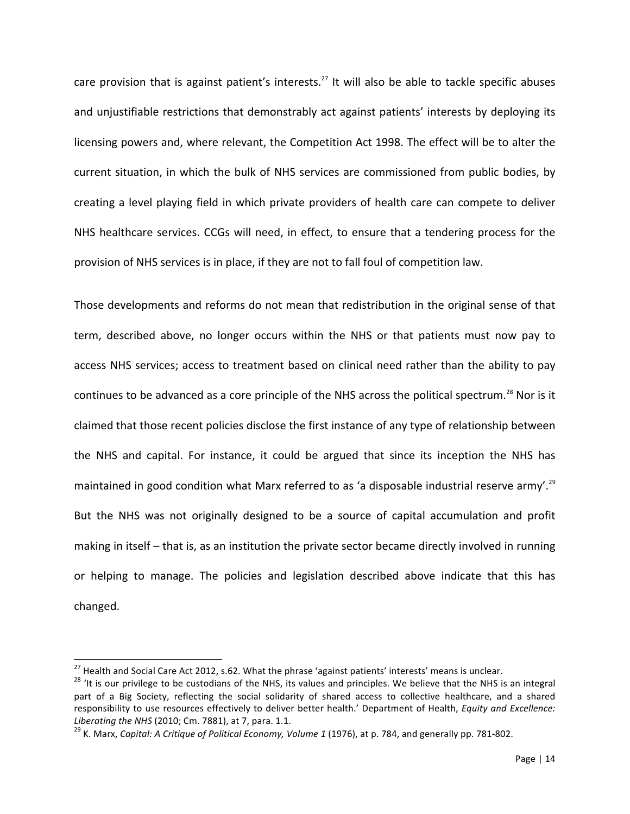care provision that is against patient's interests.<sup>27</sup> It will also be able to tackle specific abuses and unjustifiable restrictions that demonstrably act against patients' interests by deploying its licensing powers and, where relevant, the Competition Act 1998. The effect will be to alter the current situation, in which the bulk of NHS services are commissioned from public bodies, by creating a level playing field in which private providers of health care can compete to deliver NHS healthcare services. CCGs will need, in effect, to ensure that a tendering process for the provision of NHS services is in place, if they are not to fall foul of competition law.

Those developments and reforms do not mean that redistribution in the original sense of that term, described above, no longer occurs within the NHS or that patients must now pay to access NHS services; access to treatment based on clinical need rather than the ability to pay continues to be advanced as a core principle of the NHS across the political spectrum.<sup>28</sup> Nor is it claimed that those recent policies disclose the first instance of any type of relationship between the NHS and capital. For instance, it could be argued that since its inception the NHS has maintained in good condition what Marx referred to as 'a disposable industrial reserve army'.<sup>29</sup> But the NHS was not originally designed to be a source of capital accumulation and profit making in itself – that is, as an institution the private sector became directly involved in running or helping to manage. The policies and legislation described above indicate that this has changed.

<sup>&</sup>lt;sup>27</sup> Health and Social Care Act 2012, s.62. What the phrase 'against patients' interests' means is unclear.<br><sup>28</sup> 'It is our privilege to be custodians of the NHS, its values and principles. We believe that the NHS is an i part of a Big Society, reflecting the social solidarity of shared access to collective healthcare, and a shared responsibility to use resources effectively to deliver better health.' Department of Health, *Equity and Excellence: Liberating the NHS* (2010; Cm. 7881), at 7, para. 1.1.<br><sup>29</sup> K. Marx, *Capital: A Critique of Political Economy, Volume 1* (1976), at p. 784, and generally pp. 781-802.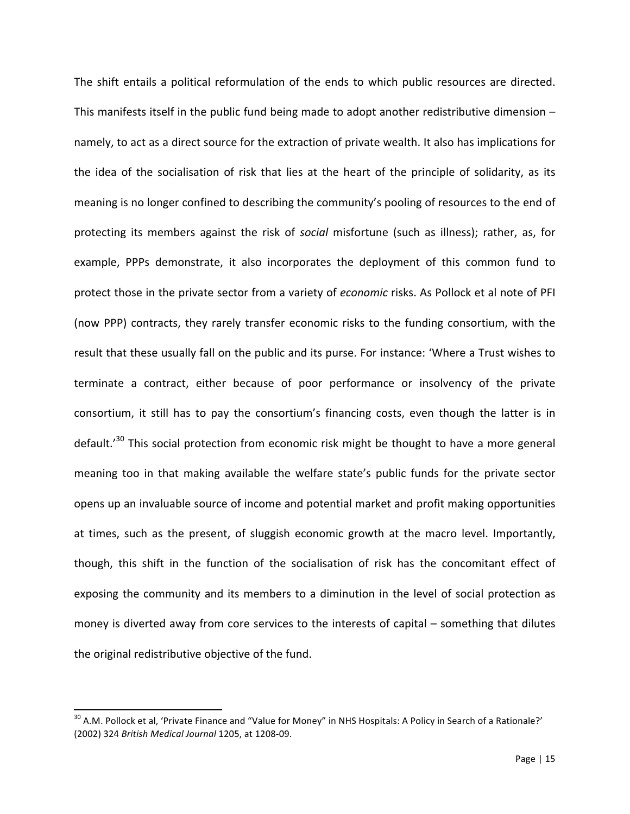The shift entails a political reformulation of the ends to which public resources are directed. This manifests itself in the public fund being made to adopt another redistributive dimension  $$ namely, to act as a direct source for the extraction of private wealth. It also has implications for the idea of the socialisation of risk that lies at the heart of the principle of solidarity, as its meaning is no longer confined to describing the community's pooling of resources to the end of protecting its members against the risk of *social* misfortune (such as illness); rather, as, for example, PPPs demonstrate, it also incorporates the deployment of this common fund to protect those in the private sector from a variety of *economic* risks. As Pollock et al note of PFI (now PPP) contracts, they rarely transfer economic risks to the funding consortium, with the result that these usually fall on the public and its purse. For instance: 'Where a Trust wishes to terminate a contract, either because of poor performance or insolvency of the private consortium, it still has to pay the consortium's financing costs, even though the latter is in default.<sup>'30</sup> This social protection from economic risk might be thought to have a more general meaning too in that making available the welfare state's public funds for the private sector opens up an invaluable source of income and potential market and profit making opportunities at times, such as the present, of sluggish economic growth at the macro level. Importantly, though, this shift in the function of the socialisation of risk has the concomitant effect of exposing the community and its members to a diminution in the level of social protection as money is diverted away from core services to the interests of capital  $-$  something that dilutes the original redistributive objective of the fund.

 $30$  A.M. Pollock et al, 'Private Finance and "Value for Money" in NHS Hospitals: A Policy in Search of a Rationale?' (2002) 324 *British Medical Journal* 1205, at 1208-09.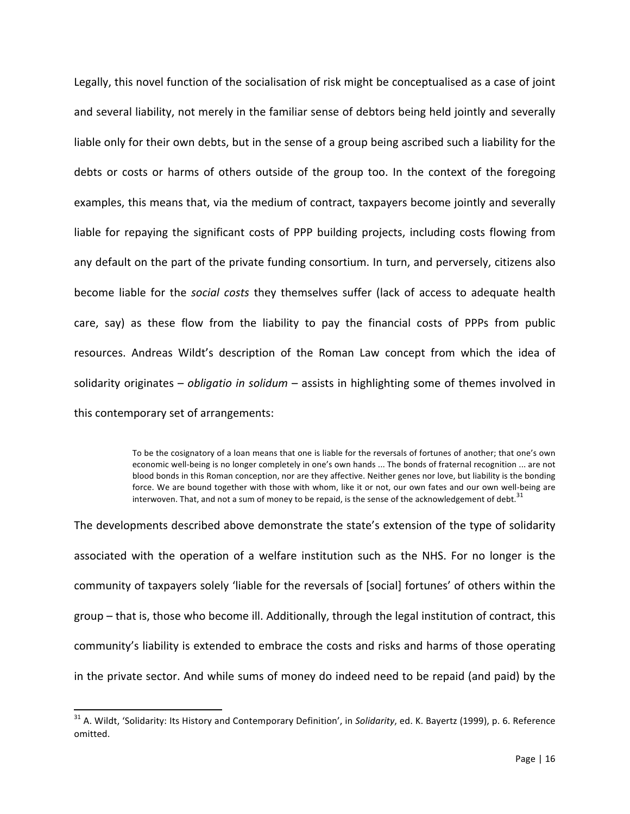Legally, this novel function of the socialisation of risk might be conceptualised as a case of joint and several liability, not merely in the familiar sense of debtors being held jointly and severally liable only for their own debts, but in the sense of a group being ascribed such a liability for the debts or costs or harms of others outside of the group too. In the context of the foregoing examples, this means that, via the medium of contract, taxpayers become jointly and severally liable for repaying the significant costs of PPP building projects, including costs flowing from any default on the part of the private funding consortium. In turn, and perversely, citizens also become liable for the *social* costs they themselves suffer (lack of access to adequate health care, say) as these flow from the liability to pay the financial costs of PPPs from public resources. Andreas Wildt's description of the Roman Law concept from which the idea of solidarity originates – *obligatio in solidum* – assists in highlighting some of themes involved in this contemporary set of arrangements:

> To be the cosignatory of a loan means that one is liable for the reversals of fortunes of another; that one's own economic well-being is no longer completely in one's own hands ... The bonds of fraternal recognition ... are not blood bonds in this Roman conception, nor are they affective. Neither genes nor love, but liability is the bonding force. We are bound together with those with whom, like it or not, our own fates and our own well-being are interwoven. That, and not a sum of money to be repaid, is the sense of the acknowledgement of debt.<sup>31</sup>

The developments described above demonstrate the state's extension of the type of solidarity associated with the operation of a welfare institution such as the NHS. For no longer is the community of taxpayers solely 'liable for the reversals of [social] fortunes' of others within the group – that is, those who become ill. Additionally, through the legal institution of contract, this community's liability is extended to embrace the costs and risks and harms of those operating in the private sector. And while sums of money do indeed need to be repaid (and paid) by the

<sup>&</sup>lt;sup>31</sup> A. Wildt, 'Solidarity: Its History and Contemporary Definition', in Solidarity, ed. K. Bayertz (1999), p. 6. Reference omitted.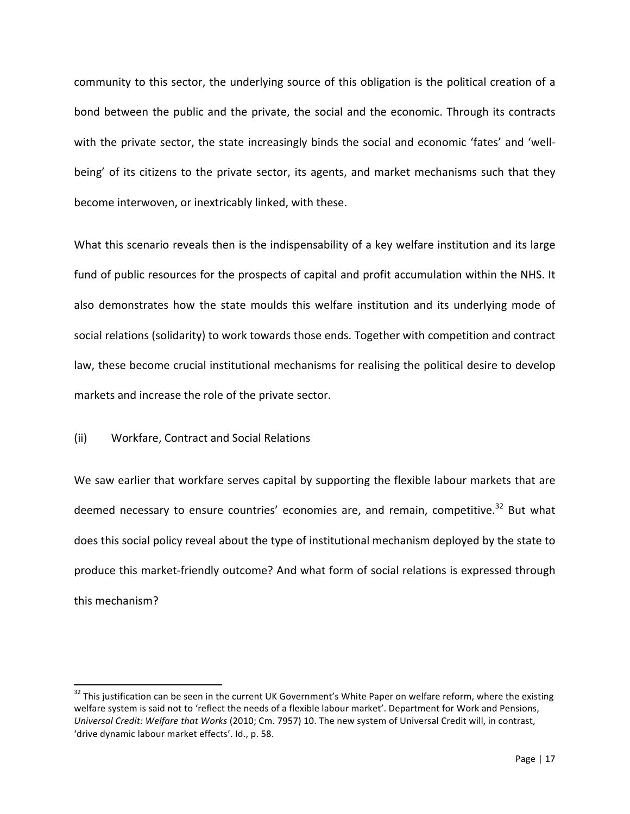community to this sector, the underlying source of this obligation is the political creation of a bond between the public and the private, the social and the economic. Through its contracts with the private sector, the state increasingly binds the social and economic 'fates' and 'wellbeing' of its citizens to the private sector, its agents, and market mechanisms such that they become interwoven, or inextricably linked, with these.

What this scenario reveals then is the indispensability of a key welfare institution and its large fund of public resources for the prospects of capital and profit accumulation within the NHS. It also demonstrates how the state moulds this welfare institution and its underlying mode of social relations (solidarity) to work towards those ends. Together with competition and contract law, these become crucial institutional mechanisms for realising the political desire to develop markets and increase the role of the private sector.

#### (ii) Workfare, Contract and Social Relations

We saw earlier that workfare serves capital by supporting the flexible labour markets that are deemed necessary to ensure countries' economies are, and remain, competitive.<sup>32</sup> But what does this social policy reveal about the type of institutional mechanism deployed by the state to produce this market-friendly outcome? And what form of social relations is expressed through this mechanism?

 $32$  This justification can be seen in the current UK Government's White Paper on welfare reform, where the existing welfare system is said not to 'reflect the needs of a flexible labour market'. Department for Work and Pensions, *Universal Credit: Welfare that Works* (2010; Cm. 7957) 10. The new system of Universal Credit will, in contrast, 'drive dynamic labour market effects'. Id., p. 58.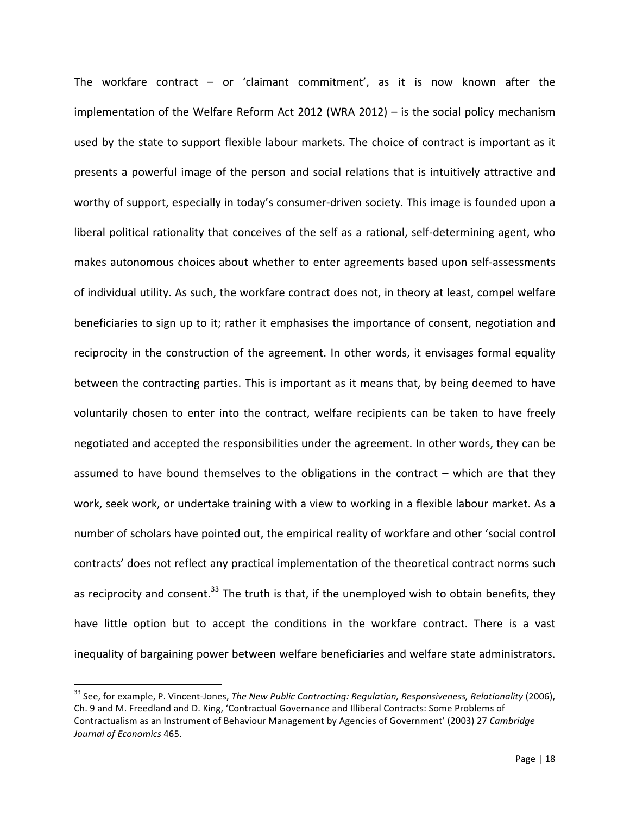The workfare contract  $-$  or 'claimant commitment', as it is now known after the implementation of the Welfare Reform Act 2012 (WRA 2012) – is the social policy mechanism used by the state to support flexible labour markets. The choice of contract is important as it presents a powerful image of the person and social relations that is intuitively attractive and worthy of support, especially in today's consumer-driven society. This image is founded upon a liberal political rationality that conceives of the self as a rational, self-determining agent, who makes autonomous choices about whether to enter agreements based upon self-assessments of individual utility. As such, the workfare contract does not, in theory at least, compel welfare beneficiaries to sign up to it; rather it emphasises the importance of consent, negotiation and reciprocity in the construction of the agreement. In other words, it envisages formal equality between the contracting parties. This is important as it means that, by being deemed to have voluntarily chosen to enter into the contract, welfare recipients can be taken to have freely negotiated and accepted the responsibilities under the agreement. In other words, they can be assumed to have bound themselves to the obligations in the contract  $-$  which are that they work, seek work, or undertake training with a view to working in a flexible labour market. As a number of scholars have pointed out, the empirical reality of workfare and other 'social control contracts' does not reflect any practical implementation of the theoretical contract norms such as reciprocity and consent.<sup>33</sup> The truth is that, if the unemployed wish to obtain benefits, they have little option but to accept the conditions in the workfare contract. There is a vast inequality of bargaining power between welfare beneficiaries and welfare state administrators.

<sup>&</sup>lt;sup>33</sup> See, for example, P. Vincent-Jones, *The New Public Contracting: Regulation, Responsiveness, Relationality* (2006), Ch. 9 and M. Freedland and D. King, 'Contractual Governance and Illiberal Contracts: Some Problems of Contractualism as an Instrument of Behaviour Management by Agencies of Government' (2003) 27 *Cambridge Journal of Economics* 465.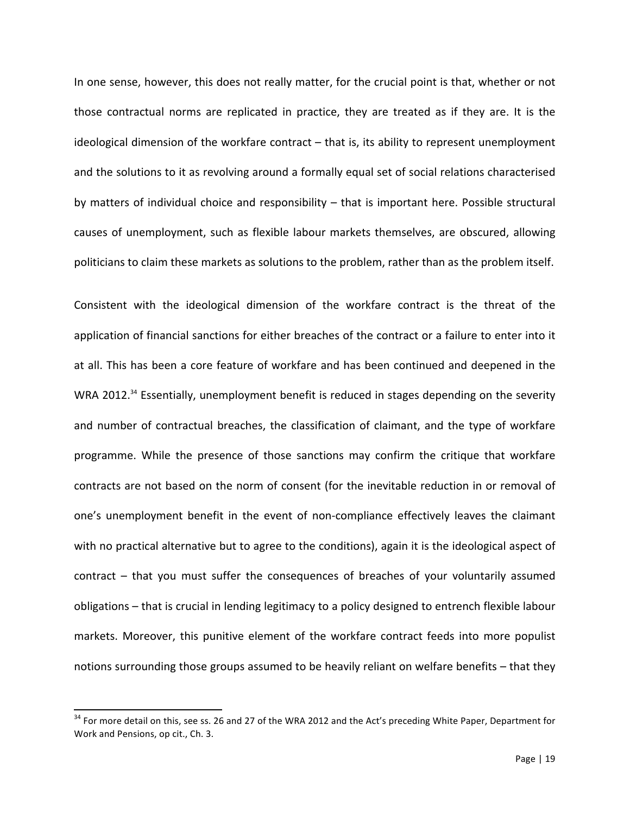In one sense, however, this does not really matter, for the crucial point is that, whether or not those contractual norms are replicated in practice, they are treated as if they are. It is the ideological dimension of the workfare contract – that is, its ability to represent unemployment and the solutions to it as revolving around a formally equal set of social relations characterised by matters of individual choice and responsibility – that is important here. Possible structural causes of unemployment, such as flexible labour markets themselves, are obscured, allowing politicians to claim these markets as solutions to the problem, rather than as the problem itself.

Consistent with the ideological dimension of the workfare contract is the threat of the application of financial sanctions for either breaches of the contract or a failure to enter into it at all. This has been a core feature of workfare and has been continued and deepened in the WRA 2012.<sup>34</sup> Essentially, unemployment benefit is reduced in stages depending on the severity and number of contractual breaches, the classification of claimant, and the type of workfare programme. While the presence of those sanctions may confirm the critique that workfare contracts are not based on the norm of consent (for the inevitable reduction in or removal of one's unemployment benefit in the event of non-compliance effectively leaves the claimant with no practical alternative but to agree to the conditions), again it is the ideological aspect of contract  $-$  that you must suffer the consequences of breaches of your voluntarily assumed obligations – that is crucial in lending legitimacy to a policy designed to entrench flexible labour markets. Moreover, this punitive element of the workfare contract feeds into more populist notions surrounding those groups assumed to be heavily reliant on welfare benefits – that they

 $34$  For more detail on this, see ss. 26 and 27 of the WRA 2012 and the Act's preceding White Paper, Department for Work and Pensions, op cit., Ch. 3.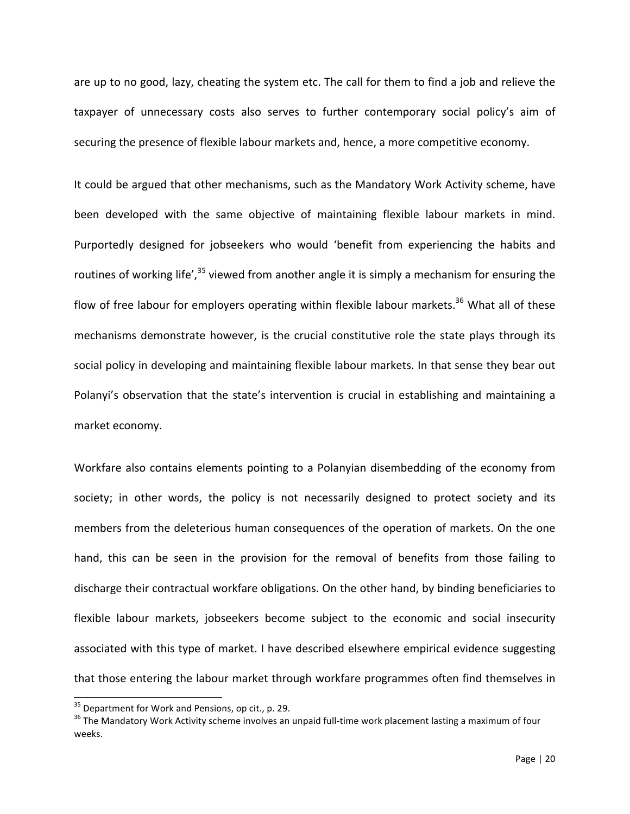are up to no good, lazy, cheating the system etc. The call for them to find a job and relieve the taxpayer of unnecessary costs also serves to further contemporary social policy's aim of securing the presence of flexible labour markets and, hence, a more competitive economy.

It could be argued that other mechanisms, such as the Mandatory Work Activity scheme, have been developed with the same objective of maintaining flexible labour markets in mind. Purportedly designed for jobseekers who would 'benefit from experiencing the habits and routines of working life',  $35$  viewed from another angle it is simply a mechanism for ensuring the flow of free labour for employers operating within flexible labour markets.<sup>36</sup> What all of these mechanisms demonstrate however, is the crucial constitutive role the state plays through its social policy in developing and maintaining flexible labour markets. In that sense they bear out Polanyi's observation that the state's intervention is crucial in establishing and maintaining a market economy.

Workfare also contains elements pointing to a Polanyian disembedding of the economy from society; in other words, the policy is not necessarily designed to protect society and its members from the deleterious human consequences of the operation of markets. On the one hand, this can be seen in the provision for the removal of benefits from those failing to discharge their contractual workfare obligations. On the other hand, by binding beneficiaries to flexible labour markets, jobseekers become subject to the economic and social insecurity associated with this type of market. I have described elsewhere empirical evidence suggesting that those entering the labour market through workfare programmes often find themselves in

<sup>&</sup>lt;sup>35</sup> Department for Work and Pensions, op cit., p. 29.<br><sup>36</sup> The Mandatory Work Activity scheme involves an unpaid full-time work placement lasting a maximum of four weeks.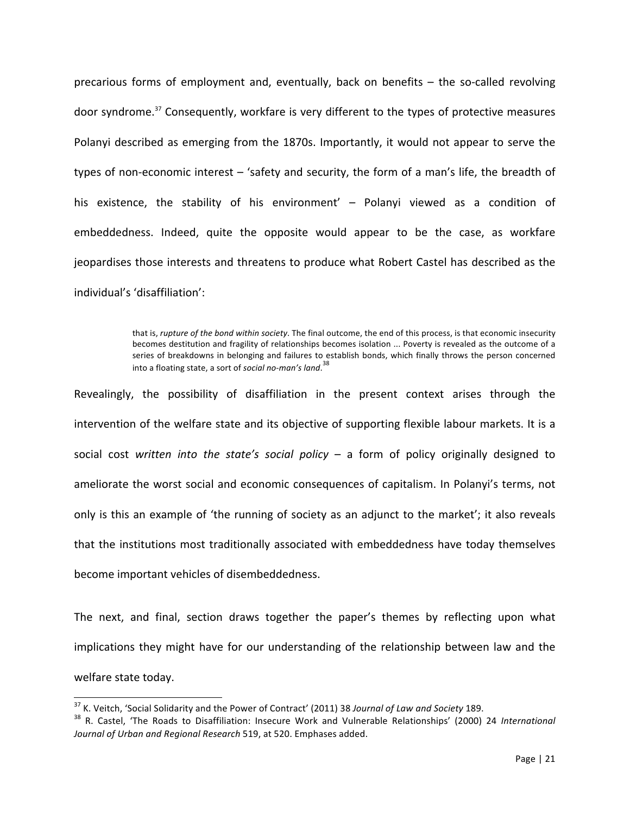precarious forms of employment and, eventually, back on benefits  $-$  the so-called revolving door syndrome.<sup>37</sup> Consequently, workfare is very different to the types of protective measures Polanyi described as emerging from the 1870s. Importantly, it would not appear to serve the types of non-economic interest  $-$  'safety and security, the form of a man's life, the breadth of his existence, the stability of his environment'  $-$  Polanyi viewed as a condition of embeddedness. Indeed, quite the opposite would appear to be the case, as workfare jeopardises those interests and threatens to produce what Robert Castel has described as the individual's 'disaffiliation':

> that is, *rupture of the bond within society*. The final outcome, the end of this process, is that economic insecurity becomes destitution and fragility of relationships becomes isolation ... Poverty is revealed as the outcome of a series of breakdowns in belonging and failures to establish bonds, which finally throws the person concerned into a floating state, a sort of *social no-man's land*.<sup>38</sup>

Revealingly, the possibility of disaffiliation in the present context arises through the intervention of the welfare state and its objective of supporting flexible labour markets. It is a social cost *written into the state's social policy* – a form of policy originally designed to ameliorate the worst social and economic consequences of capitalism. In Polanyi's terms, not only is this an example of 'the running of society as an adjunct to the market'; it also reveals that the institutions most traditionally associated with embeddedness have today themselves become important vehicles of disembeddedness.

The next, and final, section draws together the paper's themes by reflecting upon what implications they might have for our understanding of the relationship between law and the welfare state today.

 $37$  K. Veitch, 'Social Solidarity and the Power of Contract' (2011) 38 Journal of Law and Society 189.<br><sup>38</sup> R. Castel, 'The Roads to Disaffiliation: Insecure Work and Vulnerable Relationships' (2000) 24 International Journal of Urban and Regional Research 519, at 520. Emphases added.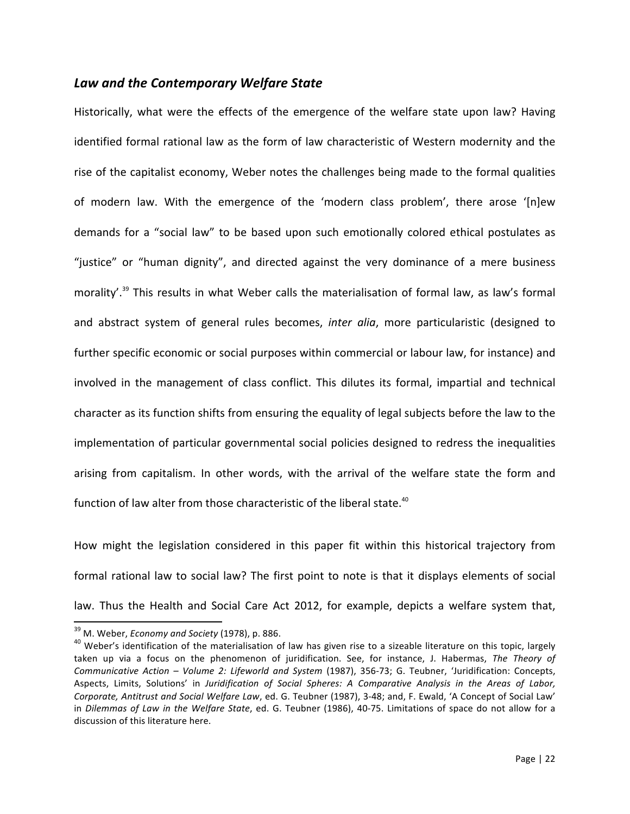#### *Law and the Contemporary Welfare State*

Historically, what were the effects of the emergence of the welfare state upon law? Having identified formal rational law as the form of law characteristic of Western modernity and the rise of the capitalist economy, Weber notes the challenges being made to the formal qualities of modern law. With the emergence of the 'modern class problem', there arose '[n]ew demands for a "social law" to be based upon such emotionally colored ethical postulates as "justice" or "human dignity", and directed against the very dominance of a mere business morality'.<sup>39</sup> This results in what Weber calls the materialisation of formal law, as law's formal and abstract system of general rules becomes, *inter alia*, more particularistic (designed to further specific economic or social purposes within commercial or labour law, for instance) and involved in the management of class conflict. This dilutes its formal, impartial and technical character as its function shifts from ensuring the equality of legal subjects before the law to the implementation of particular governmental social policies designed to redress the inequalities arising from capitalism. In other words, with the arrival of the welfare state the form and function of law alter from those characteristic of the liberal state.<sup>40</sup>

How might the legislation considered in this paper fit within this historical trajectory from formal rational law to social law? The first point to note is that it displays elements of social law. Thus the Health and Social Care Act 2012, for example, depicts a welfare system that,

<sup>&</sup>lt;sup>39</sup> M. Weber, *Economy and Society* (1978), p. 886.<br><sup>40</sup> Weber's identification of the materialisation of law has given rise to a sizeable literature on this topic, largely taken up via a focus on the phenomenon of juridification. See, for instance, J. Habermas, The Theory of *Communicative Action - Volume 2: Lifeworld and System* (1987), 356-73; G. Teubner, 'Juridification: Concepts, Aspects, Limits, Solutions' in *Juridification of Social Spheres: A Comparative Analysis in the Areas of Labor, Corporate, Antitrust and Social Welfare Law, ed. G. Teubner (1987), 3-48; and, F. Ewald, 'A Concept of Social Law'* in *Dilemmas of Law in the Welfare State*, ed. G. Teubner (1986), 40-75. Limitations of space do not allow for a discussion of this literature here.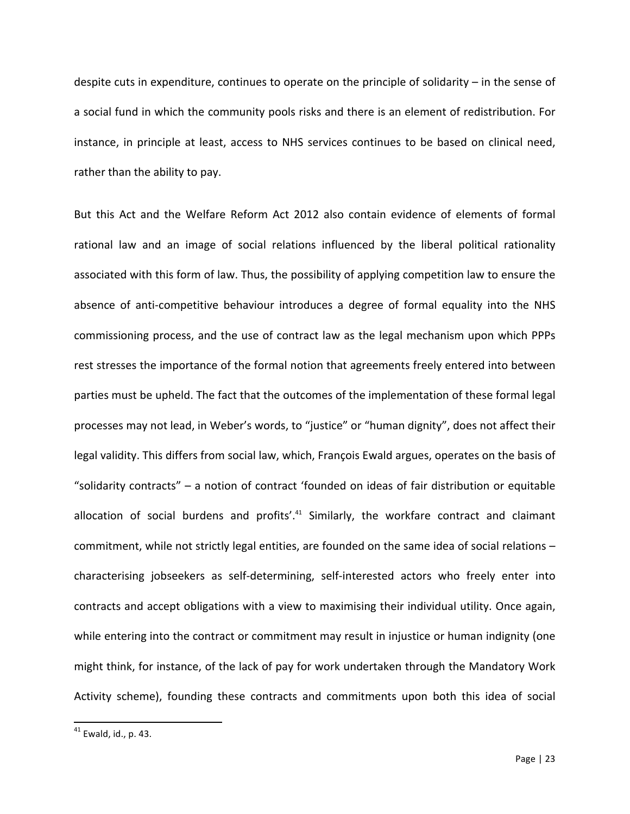despite cuts in expenditure, continues to operate on the principle of solidarity  $-$  in the sense of a social fund in which the community pools risks and there is an element of redistribution. For instance, in principle at least, access to NHS services continues to be based on clinical need, rather than the ability to pay.

But this Act and the Welfare Reform Act 2012 also contain evidence of elements of formal rational law and an image of social relations influenced by the liberal political rationality associated with this form of law. Thus, the possibility of applying competition law to ensure the absence of anti-competitive behaviour introduces a degree of formal equality into the NHS commissioning process, and the use of contract law as the legal mechanism upon which PPPs rest stresses the importance of the formal notion that agreements freely entered into between parties must be upheld. The fact that the outcomes of the implementation of these formal legal processes may not lead, in Weber's words, to "justice" or "human dignity", does not affect their legal validity. This differs from social law, which, François Ewald argues, operates on the basis of "solidarity contracts"  $-$  a notion of contract 'founded on ideas of fair distribution or equitable allocation of social burdens and profits'. $41$  Similarly, the workfare contract and claimant commitment, while not strictly legal entities, are founded on the same idea of social relations – characterising jobseekers as self-determining, self-interested actors who freely enter into contracts and accept obligations with a view to maximising their individual utility. Once again, while entering into the contract or commitment may result in injustice or human indignity (one might think, for instance, of the lack of pay for work undertaken through the Mandatory Work Activity scheme), founding these contracts and commitments upon both this idea of social

 $41$  Ewald, id., p. 43.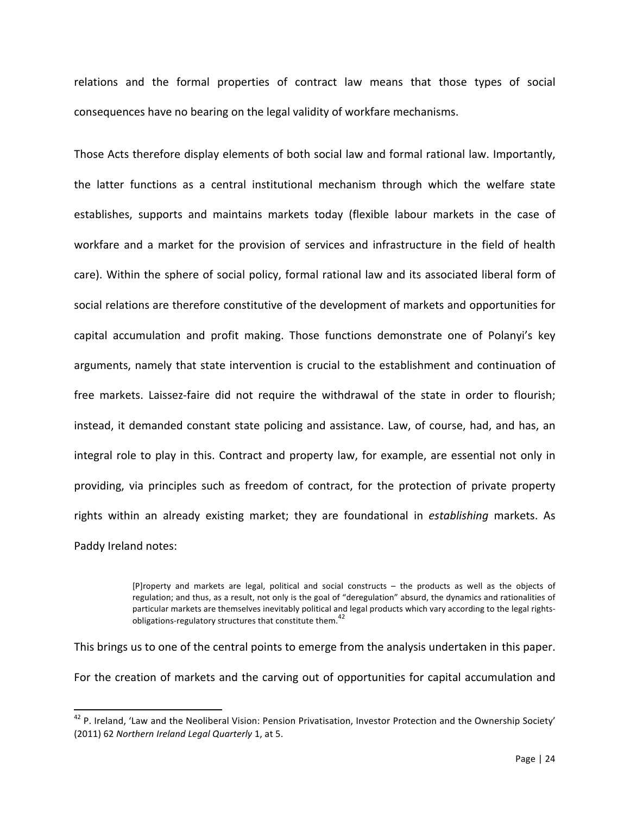relations and the formal properties of contract law means that those types of social consequences have no bearing on the legal validity of workfare mechanisms.

Those Acts therefore display elements of both social law and formal rational law. Importantly, the latter functions as a central institutional mechanism through which the welfare state establishes, supports and maintains markets today (flexible labour markets in the case of workfare and a market for the provision of services and infrastructure in the field of health care). Within the sphere of social policy, formal rational law and its associated liberal form of social relations are therefore constitutive of the development of markets and opportunities for capital accumulation and profit making. Those functions demonstrate one of Polanyi's key arguments, namely that state intervention is crucial to the establishment and continuation of free markets. Laissez-faire did not require the withdrawal of the state in order to flourish; instead, it demanded constant state policing and assistance. Law, of course, had, and has, an integral role to play in this. Contract and property law, for example, are essential not only in providing, via principles such as freedom of contract, for the protection of private property rights within an already existing market; they are foundational in *establishing* markets. As Paddy Ireland notes:

> [P]roperty and markets are legal, political and social constructs  $-$  the products as well as the objects of regulation; and thus, as a result, not only is the goal of "deregulation" absurd, the dynamics and rationalities of particular markets are themselves inevitably political and legal products which vary according to the legal rightsobligations-regulatory structures that constitute them.<sup>42</sup>

This brings us to one of the central points to emerge from the analysis undertaken in this paper. For the creation of markets and the carving out of opportunities for capital accumulation and

 $42$  P. Ireland, 'Law and the Neoliberal Vision: Pension Privatisation, Investor Protection and the Ownership Society' (2011) 62 Northern Ireland Legal Quarterly 1, at 5.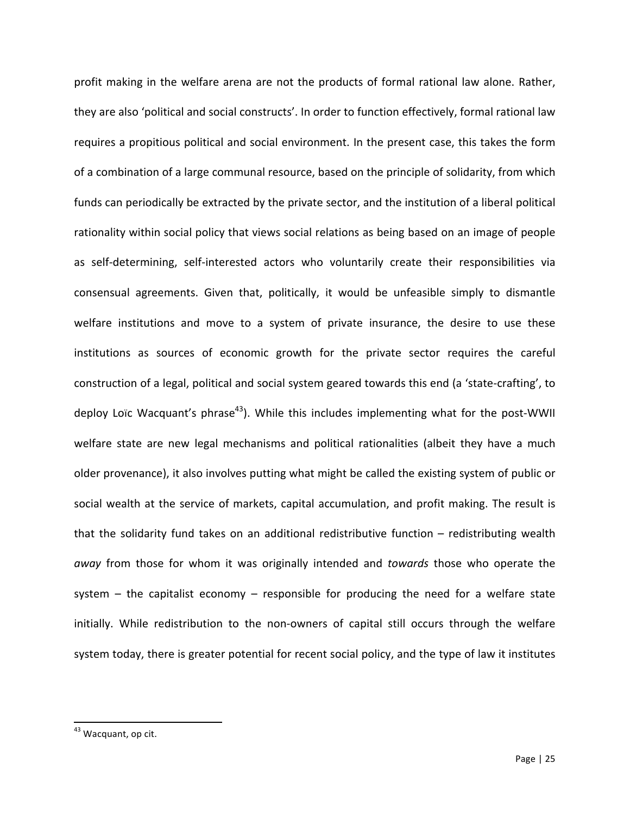profit making in the welfare arena are not the products of formal rational law alone. Rather, they are also 'political and social constructs'. In order to function effectively, formal rational law requires a propitious political and social environment. In the present case, this takes the form of a combination of a large communal resource, based on the principle of solidarity, from which funds can periodically be extracted by the private sector, and the institution of a liberal political rationality within social policy that views social relations as being based on an image of people as self-determining, self-interested actors who voluntarily create their responsibilities via consensual agreements. Given that, politically, it would be unfeasible simply to dismantle welfare institutions and move to a system of private insurance, the desire to use these institutions as sources of economic growth for the private sector requires the careful construction of a legal, political and social system geared towards this end (a 'state-crafting', to deploy Loïc Wacquant's phrase<sup>43</sup>). While this includes implementing what for the post-WWII welfare state are new legal mechanisms and political rationalities (albeit they have a much older provenance), it also involves putting what might be called the existing system of public or social wealth at the service of markets, capital accumulation, and profit making. The result is that the solidarity fund takes on an additional redistributive function  $-$  redistributing wealth *away* from those for whom it was originally intended and *towards* those who operate the system  $-$  the capitalist economy  $-$  responsible for producing the need for a welfare state initially. While redistribution to the non-owners of capital still occurs through the welfare system today, there is greater potential for recent social policy, and the type of law it institutes

<sup>&</sup>lt;sup>43</sup> Wacquant, op cit.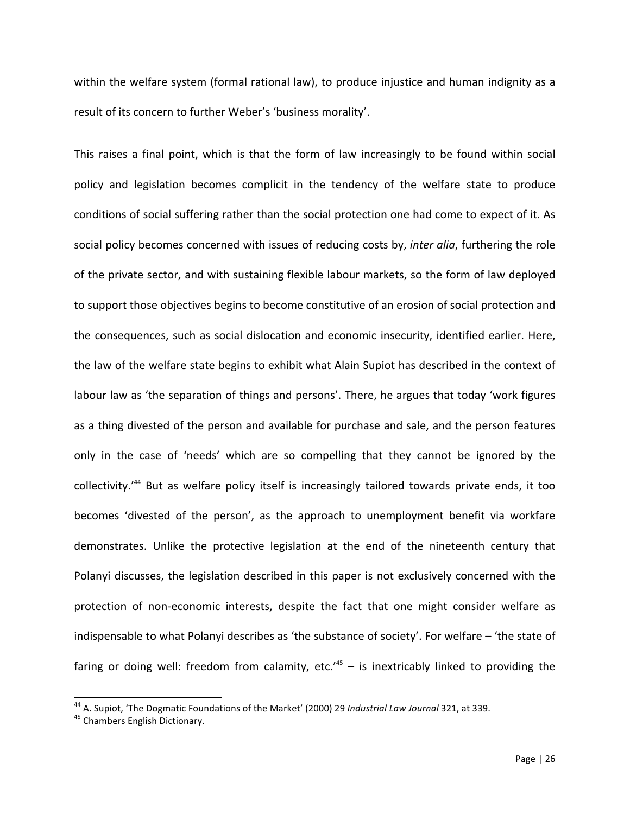within the welfare system (formal rational law), to produce injustice and human indignity as a result of its concern to further Weber's 'business morality'.

This raises a final point, which is that the form of law increasingly to be found within social policy and legislation becomes complicit in the tendency of the welfare state to produce conditions of social suffering rather than the social protection one had come to expect of it. As social policy becomes concerned with issues of reducing costs by, *inter alia*, furthering the role of the private sector, and with sustaining flexible labour markets, so the form of law deployed to support those objectives begins to become constitutive of an erosion of social protection and the consequences, such as social dislocation and economic insecurity, identified earlier. Here, the law of the welfare state begins to exhibit what Alain Supiot has described in the context of labour law as 'the separation of things and persons'. There, he argues that today 'work figures as a thing divested of the person and available for purchase and sale, and the person features only in the case of 'needs' which are so compelling that they cannot be ignored by the collectivity.<sup>'44</sup> But as welfare policy itself is increasingly tailored towards private ends, it too becomes 'divested of the person', as the approach to unemployment benefit via workfare demonstrates. Unlike the protective legislation at the end of the nineteenth century that Polanyi discusses, the legislation described in this paper is not exclusively concerned with the protection of non-economic interests, despite the fact that one might consider welfare as indispensable to what Polanyi describes as 'the substance of society'. For welfare  $-$  'the state of faring or doing well: freedom from calamity, etc.<sup>'45</sup> – is inextricably linked to providing the

<sup>&</sup>lt;sup>44</sup> A. Supiot, 'The Dogmatic Foundations of the Market' (2000) 29 *Industrial Law Journal* 321, at 339.<br><sup>45</sup> Chambers English Dictionary.